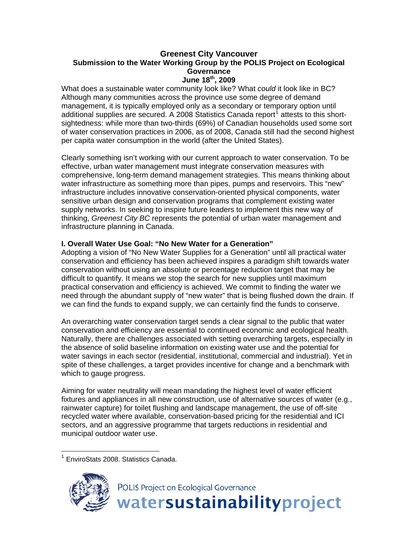#### **Greenest City Vancouver Submission to the Water Working Group by the POLIS Project on Ecological Governance June 18th, 2009**

What does a sustainable water community look like? What *could* it look like in BC? Although many communities across the province use some degree of demand management, it is typically employed only as a secondary or temporary option until additional supplies are secured. A 2008 Statistics Canada report<sup>[1](#page-0-0)</sup> attests to this shortsightedness: while more than two-thirds (69%) of Canadian households used some sort of water conservation practices in 2006, as of 2008, Canada still had the second highest per capita water consumption in the world (after the United States).

Clearly something isn't working with our current approach to water conservation. To be effective, urban water management must integrate conservation measures with comprehensive, long-term demand management strategies. This means thinking about water infrastructure as something more than pipes, pumps and reservoirs. This "new" infrastructure includes innovative conservation-oriented physical components, water sensitive urban design and conservation programs that complement existing water supply networks. In seeking to inspire future leaders to implement this new way of thinking, *Greenest City BC* represents the potential of urban water management and infrastructure planning in Canada.

#### **I. Overall Water Use Goal: "No New Water for a Generation"**

Adopting a vision of "No New Water Supplies for a Generation" until all practical water conservation and efficiency has been achieved inspires a paradigm shift towards water conservation without using an absolute or percentage reduction target that may be difficult to quantify. It means we stop the search for new supplies until maximum practical conservation and efficiency is achieved. We commit to finding the water we need through the abundant supply of "new water" that is being flushed down the drain. If we can find the funds to expand supply, we can certainly find the funds to conserve.

An overarching water conservation target sends a clear signal to the public that water conservation and efficiency are essential to continued economic and ecological health. Naturally, there are challenges associated with setting overarching targets, especially in the absence of solid baseline information on existing water use and the potential for water savings in each sector (residential, institutional, commercial and industrial). Yet in spite of these challenges, a target provides incentive for change and a benchmark with which to gauge progress.

Aiming for water neutrality will mean mandating the highest level of water efficient fixtures and appliances in all new construction, use of alternative sources of water (e.g., rainwater capture) for toilet flushing and landscape management, the use of off-site recycled water where available, conservation-based pricing for the residential and ICI sectors, and an aggressive programme that targets reductions in residential and municipal outdoor water use.

<span id="page-0-0"></span><sup>1</sup> EnviroStats 2008. Statistics Canada.

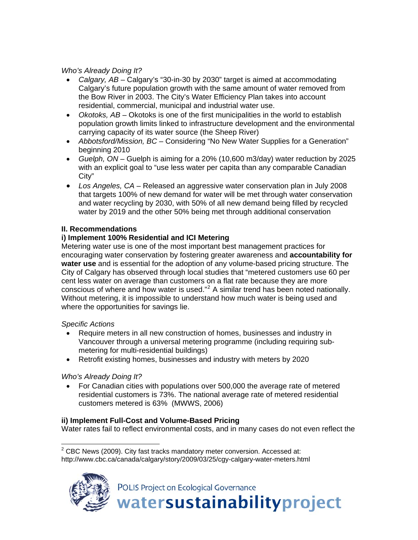*Who's Already Doing It?* 

- *Calgary, AB* Calgary's "30-in-30 by 2030" target is aimed at accommodating Calgary's future population growth with the same amount of water removed from the Bow River in 2003. The City's Water Efficiency Plan takes into account residential, commercial, municipal and industrial water use.
- *Okotoks, AB* Okotoks is one of the first municipalities in the world to establish population growth limits linked to infrastructure development and the environmental carrying capacity of its water source (the Sheep River)
- *Abbotsford/Mission, BC* Considering "No New Water Supplies for a Generation" beginning 2010
- *Guelph, ON* Guelph is aiming for a 20% (10,600 m3/day) water reduction by 2025 with an explicit goal to "use less water per capita than any comparable Canadian City"
- *Los Angeles, CA* Released an aggressive water conservation plan in July 2008 that targets 100% of new demand for water will be met through water conservation and water recycling by 2030, with 50% of all new demand being filled by recycled water by 2019 and the other 50% being met through additional conservation

## **II. Recommendations**

## **i) Implement 100% Residential and ICI Metering**

Metering water use is one of the most important best management practices for encouraging water conservation by fostering greater awareness and **accountability for water use** and is essential for the adoption of any volume-based pricing structure. The City of Calgary has observed through local studies that "metered customers use 60 per cent less water on average than customers on a flat rate because they are more conscious of where and how water is used. $"^2$  $"^2$  A similar trend has been noted nationally. Without metering, it is impossible to understand how much water is being used and where the opportunities for savings lie.

#### *Specific Actions*

- Require meters in all new construction of homes, businesses and industry in Vancouver through a universal metering programme (including requiring submetering for multi-residential buildings)
- Retrofit existing homes, businesses and industry with meters by 2020

# *Who's Already Doing It?*

• For Canadian cities with populations over 500,000 the average rate of metered residential customers is 73%. The national average rate of metered residential customers metered is 63% (MWWS, 2006)

# **ii) Implement Full-Cost and Volume-Based Pricing**

Water rates fail to reflect environmental costs, and in many cases do not even reflect the

<span id="page-1-0"></span> 2 CBC News (2009). City fast tracks mandatory meter conversion. Accessed at: http://www.cbc.ca/canada/calgary/story/2009/03/25/cgy-calgary-water-meters.html

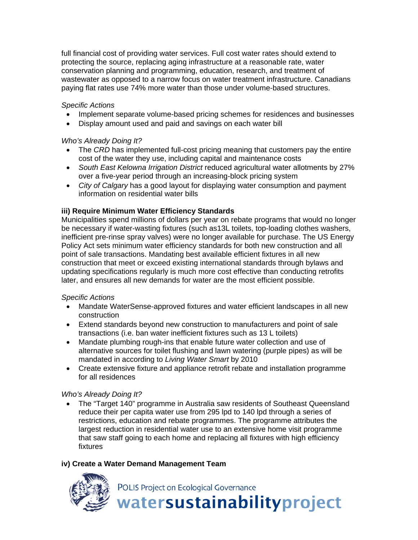full financial cost of providing water services. Full cost water rates should extend to protecting the source, replacing aging infrastructure at a reasonable rate, water conservation planning and programming, education, research, and treatment of wastewater as opposed to a narrow focus on water treatment infrastructure. Canadians paying flat rates use 74% more water than those under volume-based structures.

## *Specific Actions*

- Implement separate volume-based pricing schemes for residences and businesses
- Display amount used and paid and savings on each water bill

#### *Who's Already Doing It?*

- The *CRD* has implemented full-cost pricing meaning that customers pay the entire cost of the water they use, including capital and maintenance costs
- *South East Kelowna Irrigation District* reduced agricultural water allotments by 27% over a five-year period through an increasing-block pricing system
- *City of Calgary* has a good layout for displaying water consumption and payment information on residential water bills

## **iii) Require Minimum Water Efficiency Standards**

Municipalities spend millions of dollars per year on rebate programs that would no longer be necessary if water-wasting fixtures (such as13L toilets, top-loading clothes washers, inefficient pre-rinse spray valves) were no longer available for purchase. The US Energy Policy Act sets minimum water efficiency standards for both new construction and all point of sale transactions. Mandating best available efficient fixtures in all new construction that meet or exceed existing international standards through bylaws and updating specifications regularly is much more cost effective than conducting retrofits later, and ensures all new demands for water are the most efficient possible.

#### *Specific Actions*

- Mandate WaterSense-approved fixtures and water efficient landscapes in all new construction
- Extend standards beyond new construction to manufacturers and point of sale transactions (i.e. ban water inefficient fixtures such as 13 L toilets)
- Mandate plumbing rough-ins that enable future water collection and use of alternative sources for toilet flushing and lawn watering (purple pipes) as will be mandated in according to *Living Water Smart* by 2010
- Create extensive fixture and appliance retrofit rebate and installation programme for all residences

#### *Who's Already Doing It?*

• The "Target 140" programme in Australia saw residents of Southeast Queensland reduce their per capita water use from 295 lpd to 140 lpd through a series of restrictions, education and rebate programmes. The programme attributes the largest reduction in residential water use to an extensive home visit programme that saw staff going to each home and replacing all fixtures with high efficiency fixtures

# **iv) Create a Water Demand Management Team**

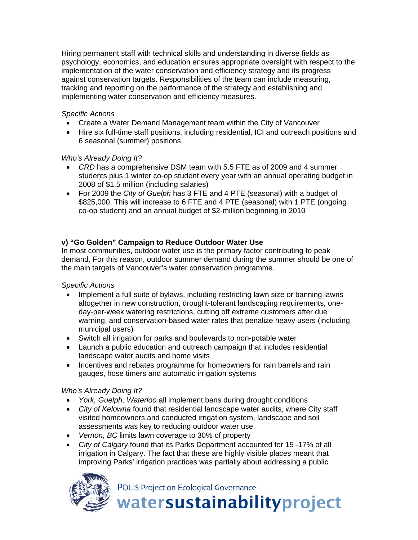Hiring permanent staff with technical skills and understanding in diverse fields as psychology, economics, and education ensures appropriate oversight with respect to the implementation of the water conservation and efficiency strategy and its progress against conservation targets. Responsibilities of the team can include measuring, tracking and reporting on the performance of the strategy and establishing and implementing water conservation and efficiency measures.

## *Specific Actions*

- Create a Water Demand Management team within the City of Vancouver
- Hire six full-time staff positions, including residential, ICI and outreach positions and 6 seasonal (summer) positions

## *Who's Already Doing It?*

- *CRD* has a comprehensive DSM team with 5.5 FTE as of 2009 and 4 summer students plus 1 winter co-op student every year with an annual operating budget in 2008 of \$1.5 million (including salaries)
- For 2009 the *City of Guelph* has 3 FTE and 4 PTE (seasonal) with a budget of \$825,000. This will increase to 6 FTE and 4 PTE (seasonal) with 1 PTE (ongoing co-op student) and an annual budget of \$2-million beginning in 2010

# **v) "Go Golden" Campaign to Reduce Outdoor Water Use**

In most communities, outdoor water use is the primary factor contributing to peak demand. For this reason, outdoor summer demand during the summer should be one of the main targets of Vancouver's water conservation programme.

# *Specific Actions*

- Implement a full suite of bylaws, including restricting lawn size or banning lawns altogether in new construction, drought-tolerant landscaping requirements, oneday-per-week watering restrictions, cutting off extreme customers after due warning, and conservation-based water rates that penalize heavy users (including municipal users)
- Switch all irrigation for parks and boulevards to non-potable water
- Launch a public education and outreach campaign that includes residential landscape water audits and home visits
- Incentives and rebates programme for homeowners for rain barrels and rain gauges, hose timers and automatic irrigation systems

# *Who's Already Doing It?*

- *York, Guelph, Waterloo* all implement bans during drought conditions
- *City of Kelowna* found that residential landscape water audits, where City staff visited homeowners and conducted irrigation system, landscape and soil assessments was key to reducing outdoor water use.
- *Vernon, BC* limits lawn coverage to 30% of property
- *City of Calgary* found that its Parks Department accounted for 15 -17% of all irrigation in Calgary. The fact that these are highly visible places meant that improving Parks' irrigation practices was partially about addressing a public



POLIS Project on Ecological Governance

watersustainabilityproject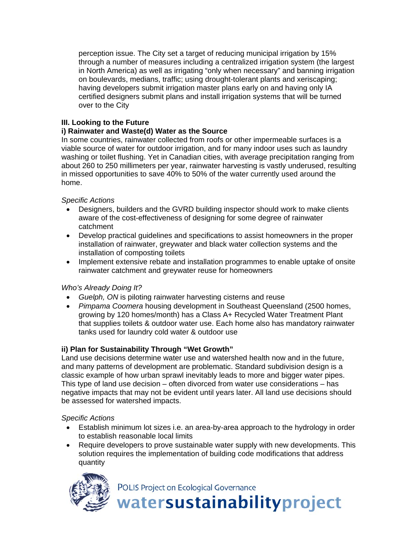perception issue. The City set a target of reducing municipal irrigation by 15% through a number of measures including a centralized irrigation system (the largest in North America) as well as irrigating "only when necessary" and banning irrigation on boulevards, medians, traffic; using drought-tolerant plants and xeriscaping; having developers submit irrigation master plans early on and having only IA certified designers submit plans and install irrigation systems that will be turned over to the City

#### **III. Looking to the Future**

## **i) Rainwater and Waste(d) Water as the Source**

In some countries, rainwater collected from roofs or other impermeable surfaces is a viable source of water for outdoor irrigation, and for many indoor uses such as laundry washing or toilet flushing. Yet in Canadian cities, with average precipitation ranging from about 260 to 250 millimeters per year, rainwater harvesting is vastly underused, resulting in missed opportunities to save 40% to 50% of the water currently used around the home.

## *Specific Actions*

- Designers, builders and the GVRD building inspector should work to make clients aware of the cost-effectiveness of designing for some degree of rainwater catchment
- Develop practical guidelines and specifications to assist homeowners in the proper installation of rainwater, greywater and black water collection systems and the installation of composting toilets
- Implement extensive rebate and installation programmes to enable uptake of onsite rainwater catchment and greywater reuse for homeowners

# *Who's Already Doing It?*

- *Guelph, ON* is piloting rainwater harvesting cisterns and reuse
- *Pimpama Coomera* housing development in Southeast Queensland (2500 homes, growing by 120 homes/month) has a Class A+ Recycled Water Treatment Plant that supplies toilets & outdoor water use. Each home also has mandatory rainwater tanks used for laundry cold water & outdoor use

# **ii) Plan for Sustainability Through "Wet Growth"**

Land use decisions determine water use and watershed health now and in the future, and many patterns of development are problematic. Standard subdivision design is a classic example of how urban sprawl inevitably leads to more and bigger water pipes. This type of land use decision – often divorced from water use considerations – has negative impacts that may not be evident until years later. All land use decisions should be assessed for watershed impacts.

#### *Specific Actions*

- Establish minimum lot sizes i.e. an area-by-area approach to the hydrology in order to establish reasonable local limits
- Require developers to prove sustainable water supply with new developments. This solution requires the implementation of building code modifications that address quantity



POLIS Project on Ecological Governance

watersustainabilityproject